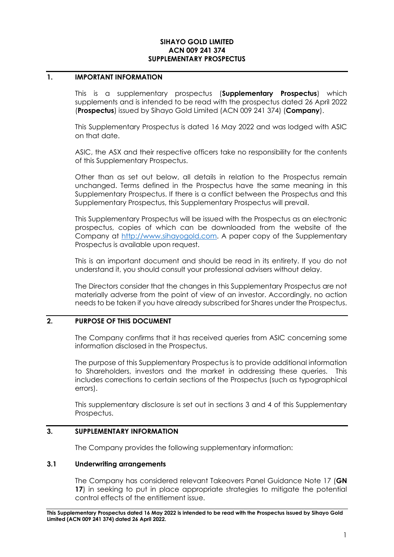#### **SIHAYO GOLD LIMITED ACN 009 241 374 SUPPLEMENTARY PROSPECTUS**

#### **1. IMPORTANT INFORMATION**

This is a supplementary prospectus (**Supplementary Prospectus**) which supplements and is intended to be read with the prospectus dated 26 April 2022 (**Prospectus**) issued by Sihayo Gold Limited (ACN 009 241 374) (**Company**).

This Supplementary Prospectus is dated 16 May 2022 and was lodged with ASIC on that date.

ASIC, the ASX and their respective officers take no responsibility for the contents of this Supplementary Prospectus.

Other than as set out below, all details in relation to the Prospectus remain unchanged. Terms defined in the Prospectus have the same meaning in this Supplementary Prospectus. If there is a conflict between the Prospectus and this Supplementary Prospectus, this Supplementary Prospectus will prevail.

This Supplementary Prospectus will be issued with the Prospectus as an electronic prospectus, copies of which can be downloaded from the website of the Company at [http://www.sihayogold.com.](http://www.sihayogold.com/) A paper copy of the Supplementary Prospectus is available upon request.

This is an important document and should be read in its entirety. If you do not understand it, you should consult your professional advisers without delay.

The Directors consider that the changes in this Supplementary Prospectus are not materially adverse from the point of view of an investor. Accordingly, no action needs to be taken if you have already subscribed for Shares under the Prospectus.

### **2. PURPOSE OF THIS DOCUMENT**

The Company confirms that it has received queries from ASIC concerning some information disclosed in the Prospectus.

The purpose of this Supplementary Prospectus is to provide additional information to Shareholders, investors and the market in addressing these queries. This includes corrections to certain sections of the Prospectus (such as typographical errors).

This supplementary disclosure is set out in sections [3](#page-0-0) and [4](#page-5-0) of this Supplementary Prospectus.

### <span id="page-0-0"></span>**3. SUPPLEMENTARY INFORMATION**

The Company provides the following supplementary information:

#### **3.1 Underwriting arrangements**

The Company has considered relevant Takeovers Panel Guidance Note 17 (**GN 17**) in seeking to put in place appropriate strategies to mitigate the potential control effects of the entitlement issue.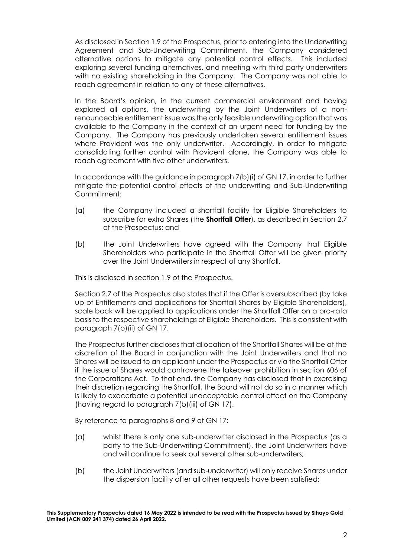As disclosed in Section 1.9 of the Prospectus, prior to entering into the Underwriting Agreement and Sub-Underwriting Commitment, the Company considered alternative options to mitigate any potential control effects. This included exploring several funding alternatives, and meeting with third party underwriters with no existing shareholding in the Company. The Company was not able to reach agreement in relation to any of these alternatives.

In the Board's opinion, in the current commercial environment and having explored all options, the underwriting by the Joint Underwriters of a nonrenounceable entitlement issue was the only feasible underwriting option that was available to the Company in the context of an urgent need for funding by the Company. The Company has previously undertaken several entitlement issues where Provident was the only underwriter. Accordingly, in order to mitigate consolidating further control with Provident alone, the Company was able to reach agreement with five other underwriters.

In accordance with the guidance in paragraph 7(b)(i) of GN 17, in order to further mitigate the potential control effects of the underwriting and Sub-Underwriting Commitment:

- (a) the Company included a shortfall facility for Eligible Shareholders to subscribe for extra Shares (the **Shortfall Offer**), as described in Section 2.7 of the Prospectus; and
- (b) the Joint Underwriters have agreed with the Company that Eligible Shareholders who participate in the Shortfall Offer will be given priority over the Joint Underwriters in respect of any Shortfall.

This is disclosed in section 1.9 of the Prospectus.

Section 2.7 of the Prospectus also states that if the Offer is oversubscribed (by take up of Entitlements and applications for Shortfall Shares by Eligible Shareholders), scale back will be applied to applications under the Shortfall Offer on a pro-rata basis to the respective shareholdings of Eligible Shareholders. This is consistent with paragraph 7(b)(ii) of GN 17.

The Prospectus further discloses that allocation of the Shortfall Shares will be at the discretion of the Board in conjunction with the Joint Underwriters and that no Shares will be issued to an applicant under the Prospectus or via the Shortfall Offer if the issue of Shares would contravene the takeover prohibition in section 606 of the Corporations Act. To that end, the Company has disclosed that in exercising their discretion regarding the Shortfall, the Board will not do so in a manner which is likely to exacerbate a potential unacceptable control effect on the Company (having regard to paragraph 7(b)(iii) of GN 17).

By reference to paragraphs 8 and 9 of GN 17:

- (a) whilst there is only one sub-underwriter disclosed in the Prospectus (as a party to the Sub-Underwriting Commitment), the Joint Underwriters have and will continue to seek out several other sub-underwriters;
- (b) the Joint Underwriters (and sub-underwriter) will only receive Shares under the dispersion facility after all other requests have been satisfied;

**This Supplementary Prospectus dated 16 May 2022 is intended to be read with the Prospectus issued by Sihayo Gold Limited (ACN 009 241 374) dated 26 April 2022.**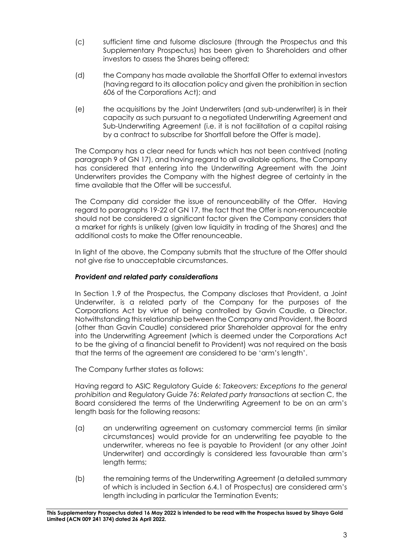- (c) sufficient time and fulsome disclosure (through the Prospectus and this Supplementary Prospectus) has been given to Shareholders and other investors to assess the Shares being offered;
- (d) the Company has made available the Shortfall Offer to external investors (having regard to its allocation policy and given the prohibition in section 606 of the Corporations Act); and
- (e) the acquisitions by the Joint Underwriters (and sub-underwriter) is in their capacity as such pursuant to a negotiated Underwriting Agreement and Sub-Underwriting Agreement (i.e. it is not facilitation of a capital raising by a contract to subscribe for Shortfall before the Offer is made).

The Company has a clear need for funds which has not been contrived (noting paragraph 9 of GN 17), and having regard to all available options, the Company has considered that entering into the Underwriting Agreement with the Joint Underwriters provides the Company with the highest degree of certainty in the time available that the Offer will be successful.

The Company did consider the issue of renounceability of the Offer. Having regard to paragraphs 19-22 of GN 17, the fact that the Offer is non-renounceable should not be considered a significant factor given the Company considers that a market for rights is unlikely (given low liquidity in trading of the Shares) and the additional costs to make the Offer renounceable.

In light of the above, the Company submits that the structure of the Offer should not give rise to unacceptable circumstances.

## *Provident and related party considerations*

In Section 1.9 of the Prospectus, the Company discloses that Provident, a Joint Underwriter, is a related party of the Company for the purposes of the Corporations Act by virtue of being controlled by Gavin Caudle, a Director. Notwithstanding this relationship between the Company and Provident, the Board (other than Gavin Caudle) considered prior Shareholder approval for the entry into the Underwriting Agreement (which is deemed under the Corporations Act to be the giving of a financial benefit to Provident) was not required on the basis that the terms of the agreement are considered to be 'arm's length'.

The Company further states as follows:

Having regard to ASIC Regulatory Guide 6: *Takeovers: Exceptions to the general prohibition* and Regulatory Guide 76: *Related party transactions* at section C, the Board considered the terms of the Underwriting Agreement to be on an arm's length basis for the following reasons:

- (a) an underwriting agreement on customary commercial terms (in similar circumstances) would provide for an underwriting fee payable to the underwriter, whereas no fee is payable to Provident (or any other Joint Underwriter) and accordingly is considered less favourable than arm's length terms;
- (b) the remaining terms of the Underwriting Agreement (a detailed summary of which is included in Section 6.4.1 of Prospectus) are considered arm's length including in particular the Termination Events;

**This Supplementary Prospectus dated 16 May 2022 is intended to be read with the Prospectus issued by Sihayo Gold Limited (ACN 009 241 374) dated 26 April 2022.**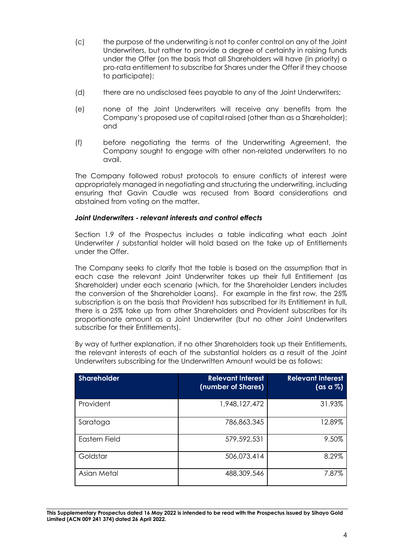- (c) the purpose of the underwriting is not to confer control on any of the Joint Underwriters, but rather to provide a degree of certainty in raising funds under the Offer (on the basis that all Shareholders will have (in priority) a pro-rata entitlement to subscribe for Shares under the Offer if they choose to participate);
- (d) there are no undisclosed fees payable to any of the Joint Underwriters;
- (e) none of the Joint Underwriters will receive any benefits from the Company's proposed use of capital raised (other than as a Shareholder); and
- (f) before negotiating the terms of the Underwriting Agreement, the Company sought to engage with other non-related underwriters to no avail.

The Company followed robust protocols to ensure conflicts of interest were appropriately managed in negotiating and structuring the underwriting, including ensuring that Gavin Caudle was recused from Board considerations and abstained from voting on the matter.

## *Joint Underwriters - relevant interests and control effects*

Section 1.9 of the Prospectus includes a table indicating what each Joint Underwriter / substantial holder will hold based on the take up of Entitlements under the Offer.

The Company seeks to clarify that the table is based on the assumption that in each case the relevant Joint Underwriter takes up their full Entitlement (as Shareholder) under each scenario (which, for the Shareholder Lenders includes the conversion of the Shareholder Loans). For example in the first row, the 25% subscription is on the basis that Provident has subscribed for its Entitlement in full, there is a 25% take up from other Shareholders and Provident subscribes for its proportionate amount as a Joint Underwriter (but no other Joint Underwriters subscribe for their Entitlements).

By way of further explanation, if no other Shareholders took up their Entitlements, the relevant interests of each of the substantial holders as a result of the Joint Underwriters subscribing for the Underwritten Amount would be as follows:

| Shareholder   | <b>Relevant Interest</b><br>(number of Shares) | <b>Relevant Interest</b><br>$(\text{as a }\%)$ |
|---------------|------------------------------------------------|------------------------------------------------|
| Provident     | 1,948, 127, 472                                | 31.93%                                         |
| Saratoga      | 786,863,345                                    | 12.89%                                         |
| Eastern Field | 579,592,531                                    | 9.50%                                          |
| Goldstar      | 506,073,414                                    | 8.29%                                          |
| Asian Metal   | 488,309,546                                    | 7.87%                                          |

**This Supplementary Prospectus dated 16 May 2022 is intended to be read with the Prospectus issued by Sihayo Gold Limited (ACN 009 241 374) dated 26 April 2022.**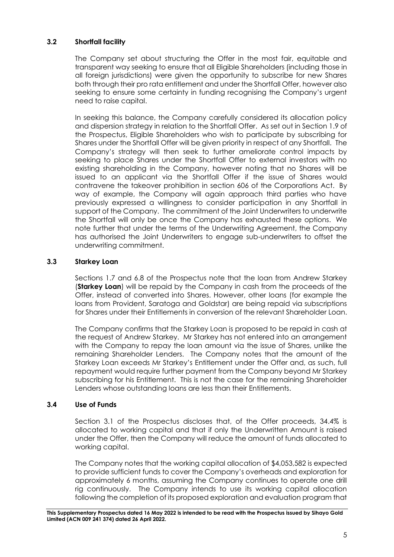# **3.2 Shortfall facility**

The Company set about structuring the Offer in the most fair, equitable and transparent way seeking to ensure that all Eligible Shareholders (including those in all foreign jurisdictions) were given the opportunity to subscribe for new Shares both through their pro rata entitlement and under the Shortfall Offer, however also seeking to ensure some certainty in funding recognising the Company's urgent need to raise capital.

In seeking this balance, the Company carefully considered its allocation policy and dispersion strategy in relation to the Shortfall Offer. As set out in Section 1.9 of the Prospectus, Eligible Shareholders who wish to participate by subscribing for Shares under the Shortfall Offer will be given priority in respect of any Shortfall. The Company's strategy will then seek to further ameliorate control impacts by seeking to place Shares under the Shortfall Offer to external investors with no existing shareholding in the Company, however noting that no Shares will be issued to an applicant via the Shortfall Offer if the issue of Shares would contravene the takeover prohibition in section 606 of the Corporations Act. By way of example, the Company will again approach third parties who have previously expressed a willingness to consider participation in any Shortfall in support of the Company. The commitment of the Joint Underwriters to underwrite the Shortfall will only be once the Company has exhausted these options. We note further that under the terms of the Underwriting Agreement, the Company has authorised the Joint Underwriters to engage sub-underwriters to offset the underwriting commitment.

# **3.3 Starkey Loan**

Sections 1.7 and 6.8 of the Prospectus note that the loan from Andrew Starkey (**Starkey Loan**) will be repaid by the Company in cash from the proceeds of the Offer, instead of converted into Shares. However, other loans (for example the loans from Provident, Saratoga and Goldstar) are being repaid via subscriptions for Shares under their Entitlements in conversion of the relevant Shareholder Loan.

The Company confirms that the Starkey Loan is proposed to be repaid in cash at the request of Andrew Starkey. Mr Starkey has not entered into an arrangement with the Company to repay the loan amount via the issue of Shares, unlike the remaining Shareholder Lenders. The Company notes that the amount of the Starkey Loan exceeds Mr Starkey's Entitlement under the Offer and, as such, full repayment would require further payment from the Company beyond Mr Starkey subscribing for his Entitlement. This is not the case for the remaining Shareholder Lenders whose outstanding loans are less than their Entitlements.

# **3.4 Use of Funds**

Section 3.1 of the Prospectus discloses that, of the Offer proceeds, 34.4% is allocated to working capital and that if only the Underwritten Amount is raised under the Offer, then the Company will reduce the amount of funds allocated to working capital.

The Company notes that the working capital allocation of \$4,053,582 is expected to provide sufficient funds to cover the Company's overheads and exploration for approximately 6 months, assuming the Company continues to operate one drill rig continuously. The Company intends to use its working capital allocation following the completion of its proposed exploration and evaluation program that

**This Supplementary Prospectus dated 16 May 2022 is intended to be read with the Prospectus issued by Sihayo Gold Limited (ACN 009 241 374) dated 26 April 2022.**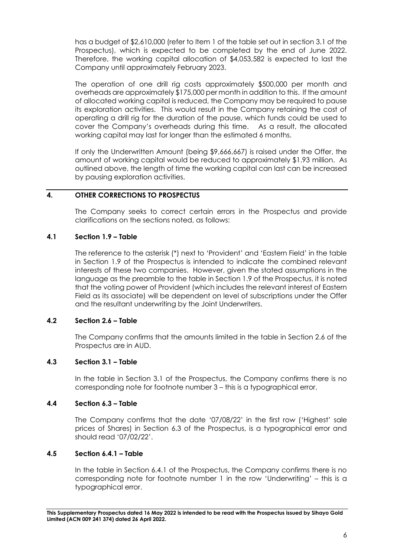has a budget of \$2,610,000 (refer to Item 1 of the table set out in section 3.1 of the Prospectus), which is expected to be completed by the end of June 2022. Therefore, the working capital allocation of \$4,053,582 is expected to last the Company until approximately February 2023.

The operation of one drill rig costs approximately \$500,000 per month and overheads are approximately \$175,000 per month in addition to this. If the amount of allocated working capital is reduced, the Company may be required to pause its exploration activities. This would result in the Company retaining the cost of operating a drill rig for the duration of the pause, which funds could be used to cover the Company's overheads during this time. As a result, the allocated working capital may last for longer than the estimated 6 months.

If only the Underwritten Amount (being \$9,666,667) is raised under the Offer, the amount of working capital would be reduced to approximately \$1.93 million. As outlined above, the length of time the working capital can last can be increased by pausing exploration activities.

# <span id="page-5-0"></span>**4. OTHER CORRECTIONS TO PROSPECTUS**

The Company seeks to correct certain errors in the Prospectus and provide clarifications on the sections noted, as follows:

## **4.1 Section 1.9 – Table**

The reference to the asterisk (\*) next to 'Provident' and 'Eastern Field' in the table in Section 1.9 of the Prospectus is intended to indicate the combined relevant interests of these two companies. However, given the stated assumptions in the language as the preamble to the table in Section 1.9 of the Prospectus, it is noted that the voting power of Provident (which includes the relevant interest of Eastern Field as its associate) will be dependent on level of subscriptions under the Offer and the resultant underwriting by the Joint Underwriters.

### **4.2 Section 2.6 – Table**

The Company confirms that the amounts limited in the table in Section 2.6 of the Prospectus are in AUD.

### **4.3 Section 3.1 – Table**

In the table in Section 3.1 of the Prospectus, the Company confirms there is no corresponding note for footnote number 3 – this is a typographical error.

### **4.4 Section 6.3 – Table**

The Company confirms that the date '07/08/22' in the first row ('Highest' sale prices of Shares) in Section 6.3 of the Prospectus, is a typographical error and should read '07/02/22'.

# **4.5 Section 6.4.1 – Table**

In the table in Section 6.4.1 of the Prospectus, the Company confirms there is no corresponding note for footnote number 1 in the row 'Underwriting' – this is a typographical error.